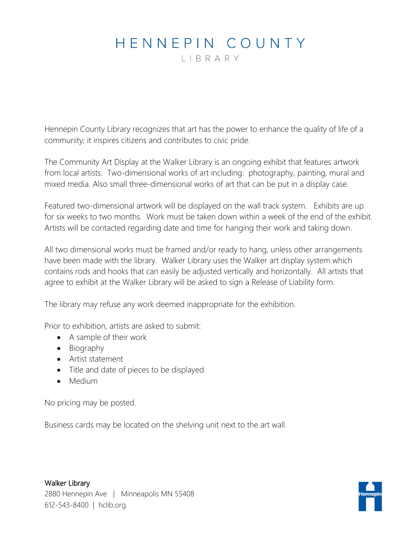## HENNEPIN COUNTY

LIBRARY

Hennepin County Library recognizes that art has the power to enhance the quality of life of a community; it inspires citizens and contributes to civic pride.

The Community Art Display at the Walker Library is an ongoing exhibit that features artwork from local artists. Two-dimensional works of art including: photography, painting, mural and mixed media. Also small three-dimensional works of art that can be put in a display case.

Featured two-dimensional artwork will be displayed on the wall track system. Exhibits are up for six weeks to two months. Work must be taken down within a week of the end of the exhibit. Artists will be contacted regarding date and time for hanging their work and taking down.

All two dimensional works must be framed and/or ready to hang, unless other arrangements have been made with the library. Walker Library uses the Walker art display system which contains rods and hooks that can easily be adjusted vertically and horizontally. All artists that agree to exhibit at the Walker Library will be asked to sign a Release of Liability form.

The library may refuse any work deemed inappropriate for the exhibition.

Prior to exhibition, artists are asked to submit:

- A sample of their work
- Biography
- Artist statement
- Title and date of pieces to be displayed
- Medium

No pricing may be posted.

Business cards may be located on the shelving unit next to the art wall.